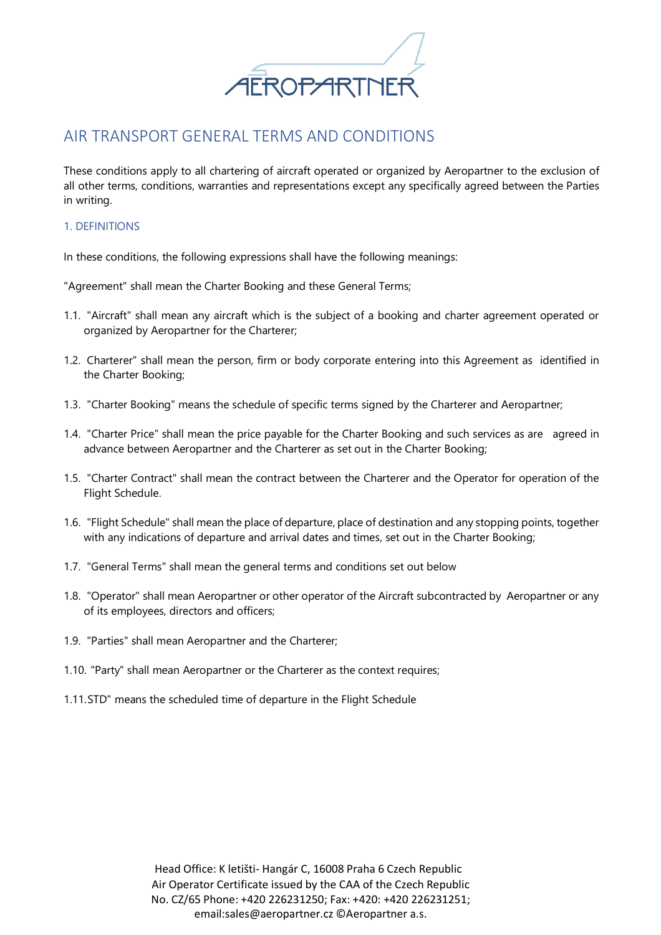

# AIR TRANSPORT GENERAL TERMS AND CONDITIONS

These conditions apply to all chartering of aircraft operated or organized by Aeropartner to the exclusion of all other terms, conditions, warranties and representations except any specifically agreed between the Parties in writing.

### 1. DEFINITIONS

In these conditions, the following expressions shall have the following meanings:

"Agreement" shall mean the Charter Booking and these General Terms;

- 1.1. "Aircraft" shall mean any aircraft which is the subject of a booking and charter agreement operated or organized by Aeropartner for the Charterer;
- 1.2. Charterer" shall mean the person, firm or body corporate entering into this Agreement as identified in the Charter Booking;
- 1.3. "Charter Booking" means the schedule of specific terms signed by the Charterer and Aeropartner;
- 1.4. "Charter Price" shall mean the price payable for the Charter Booking and such services as are agreed in advance between Aeropartner and the Charterer as set out in the Charter Booking;
- 1.5. "Charter Contract" shall mean the contract between the Charterer and the Operator for operation of the Flight Schedule.
- 1.6. "Flight Schedule" shall mean the place of departure, place of destination and any stopping points, together with any indications of departure and arrival dates and times, set out in the Charter Booking;
- 1.7. "General Terms" shall mean the general terms and conditions set out below
- 1.8. "Operator" shall mean Aeropartner or other operator of the Aircraft subcontracted by Aeropartner or any of its employees, directors and officers;
- 1.9. "Parties" shall mean Aeropartner and the Charterer;
- 1.10. "Party" shall mean Aeropartner or the Charterer as the context requires;
- 1.11.STD" means the scheduled time of departure in the Flight Schedule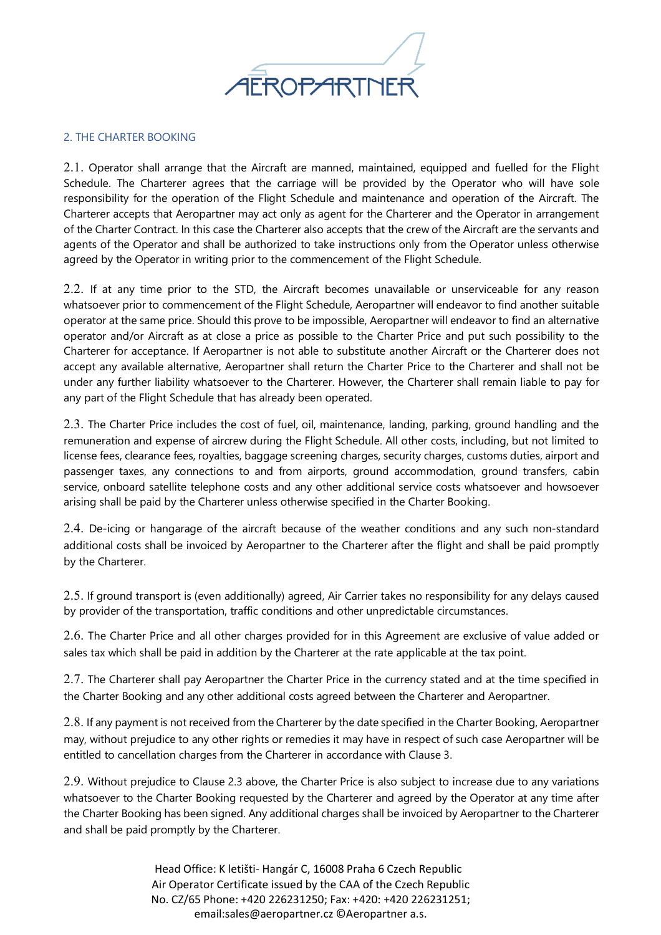

### 2. THE CHARTER BOOKING

2.1. Operator shall arrange that the Aircraft are manned, maintained, equipped and fuelled for the Flight Schedule. The Charterer agrees that the carriage will be provided by the Operator who will have sole responsibility for the operation of the Flight Schedule and maintenance and operation of the Aircraft. The Charterer accepts that Aeropartner may act only as agent for the Charterer and the Operator in arrangement of the Charter Contract. In this case the Charterer also accepts that the crew of the Aircraft are the servants and agents of the Operator and shall be authorized to take instructions only from the Operator unless otherwise agreed by the Operator in writing prior to the commencement of the Flight Schedule.

2.2. If at any time prior to the STD, the Aircraft becomes unavailable or unserviceable for any reason whatsoever prior to commencement of the Flight Schedule, Aeropartner will endeavor to find another suitable operator at the same price. Should this prove to be impossible, Aeropartner will endeavor to find an alternative operator and/or Aircraft as at close a price as possible to the Charter Price and put such possibility to the Charterer for acceptance. If Aeropartner is not able to substitute another Aircraft or the Charterer does not accept any available alternative, Aeropartner shall return the Charter Price to the Charterer and shall not be under any further liability whatsoever to the Charterer. However, the Charterer shall remain liable to pay for any part of the Flight Schedule that has already been operated.

2.3. The Charter Price includes the cost of fuel, oil, maintenance, landing, parking, ground handling and the remuneration and expense of aircrew during the Flight Schedule. All other costs, including, but not limited to license fees, clearance fees, royalties, baggage screening charges, security charges, customs duties, airport and passenger taxes, any connections to and from airports, ground accommodation, ground transfers, cabin service, onboard satellite telephone costs and any other additional service costs whatsoever and howsoever arising shall be paid by the Charterer unless otherwise specified in the Charter Booking.

2.4. De-icing or hangarage of the aircraft because of the weather conditions and any such non-standard additional costs shall be invoiced by Aeropartner to the Charterer after the flight and shall be paid promptly by the Charterer.

2.5. If ground transport is (even additionally) agreed, Air Carrier takes no responsibility for any delays caused by provider of the transportation, traffic conditions and other unpredictable circumstances.

2.6. The Charter Price and all other charges provided for in this Agreement are exclusive of value added or sales tax which shall be paid in addition by the Charterer at the rate applicable at the tax point.

2.7. The Charterer shall pay Aeropartner the Charter Price in the currency stated and at the time specified in the Charter Booking and any other additional costs agreed between the Charterer and Aeropartner.

2.8. If any payment is not received from the Charterer by the date specified in the Charter Booking, Aeropartner may, without prejudice to any other rights or remedies it may have in respect of such case Aeropartner will be entitled to cancellation charges from the Charterer in accordance with Clause 3.

2.9. Without prejudice to Clause 2.3 above, the Charter Price is also subject to increase due to any variations whatsoever to the Charter Booking requested by the Charterer and agreed by the Operator at any time after the Charter Booking has been signed. Any additional charges shall be invoiced by Aeropartner to the Charterer and shall be paid promptly by the Charterer.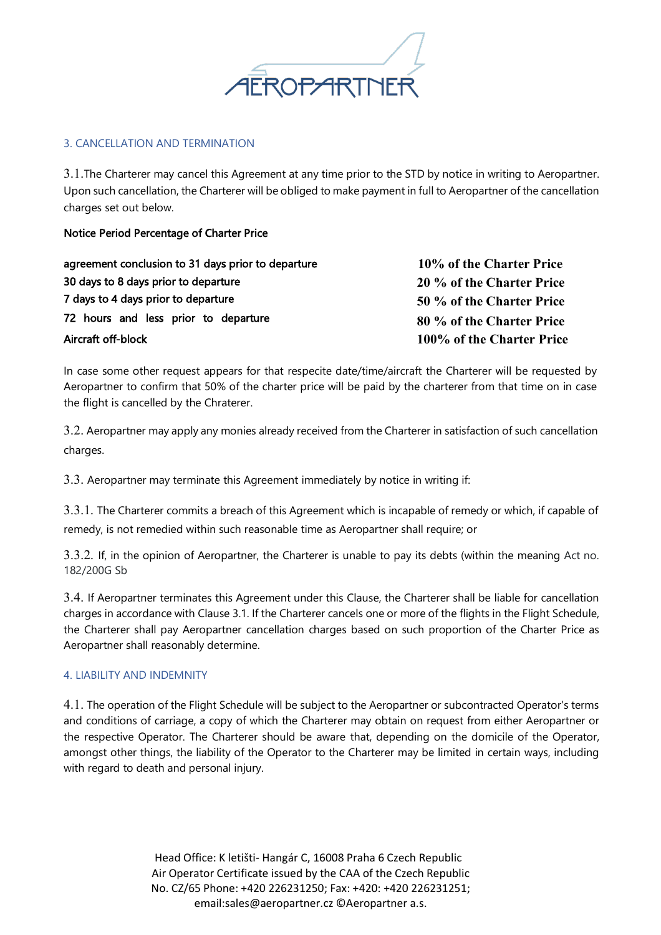

## 3. CANCELLATION AND TERMINATION

3.1.The Charterer may cancel this Agreement at any time prior to the STD by notice in writing to Aeropartner. Upon such cancellation, the Charterer will be obliged to make payment in full to Aeropartner of the cancellation charges set out below.

Notice Period Percentage of Charter Price

| agreement conclusion to 31 days prior to departure | 10% of the Charter Price  |
|----------------------------------------------------|---------------------------|
| 30 days to 8 days prior to departure               | 20 % of the Charter Price |
| 7 days to 4 days prior to departure                | 50 % of the Charter Price |
| 72 hours and less prior to departure               | 80 % of the Charter Price |
| Aircraft off-block                                 | 100% of the Charter Price |

In case some other request appears for that respecite date/time/aircraft the Charterer will be requested by Aeropartner to confirm that 50% of the charter price will be paid by the charterer from that time on in case the flight is cancelled by the Chraterer.

3.2. Aeropartner may apply any monies already received from the Charterer in satisfaction of such cancellation charges.

3.3. Aeropartner may terminate this Agreement immediately by notice in writing if:

3.3.1. The Charterer commits a breach of this Agreement which is incapable of remedy or which, if capable of remedy, is not remedied within such reasonable time as Aeropartner shall require; or

3.3.2. If, in the opinion of Aeropartner, the Charterer is unable to pay its debts (within the meaning Act no. 182/200G Sb

3.4. If Aeropartner terminates this Agreement under this Clause, the Charterer shall be liable for cancellation charges in accordance with Clause 3.1. If the Charterer cancels one or more of the flights in the Flight Schedule, the Charterer shall pay Aeropartner cancellation charges based on such proportion of the Charter Price as Aeropartner shall reasonably determine.

# 4. LIABILITY AND INDEMNITY

4.1. The operation of the Flight Schedule will be subject to the Aeropartner or subcontracted Operator's terms and conditions of carriage, a copy of which the Charterer may obtain on request from either Aeropartner or the respective Operator. The Charterer should be aware that, depending on the domicile of the Operator, amongst other things, the liability of the Operator to the Charterer may be limited in certain ways, including with regard to death and personal injury.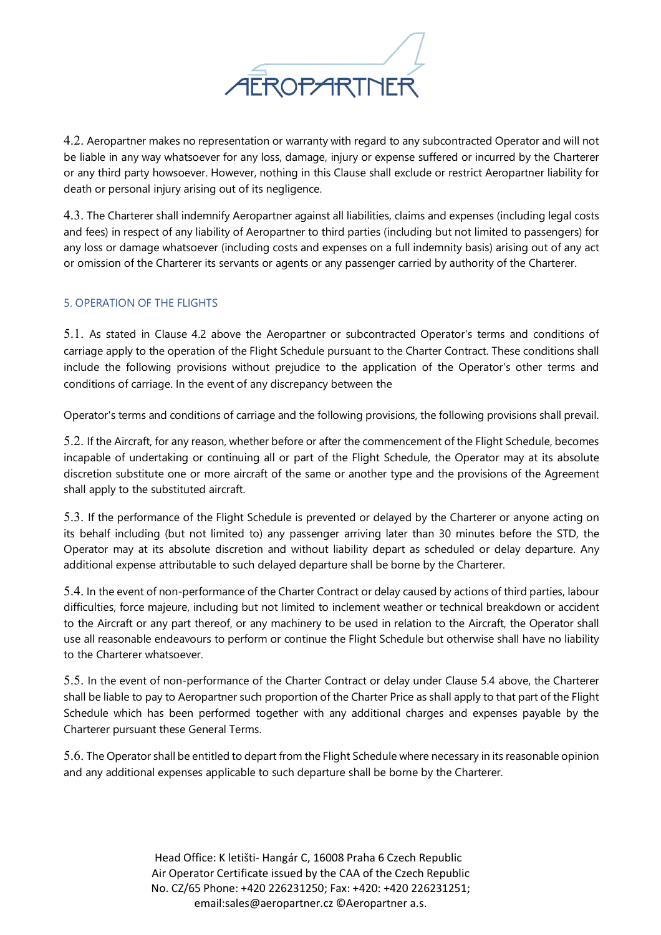

4.2. Aeropartner makes no representation or warranty with regard to any subcontracted Operator and will not be liable in any way whatsoever for any loss, damage, injury or expense suffered or incurred by the Charterer or any third party howsoever. However, nothing in this Clause shall exclude or restrict Aeropartner liability for death or personal injury arising out of its negligence.

4.3. The Charterer shall indemnify Aeropartner against all liabilities, claims and expenses (including legal costs and fees) in respect of any liability of Aeropartner to third parties (including but not limited to passengers) for any loss or damage whatsoever (including costs and expenses on a full indemnity basis) arising out of any act or omission of the Charterer its servants or agents or any passenger carried by authority of the Charterer.

# 5. OPERATION OF THE FLIGHTS

5.1. As stated in Clause 4.2 above the Aeropartner or subcontracted Operator's terms and conditions of carriage apply to the operation of the Flight Schedule pursuant to the Charter Contract. These conditions shall include the following provisions without prejudice to the application of the Operator's other terms and conditions of carriage. In the event of any discrepancy between the

Operator's terms and conditions of carriage and the following provisions, the following provisions shall prevail.

5.2. If the Aircraft, for any reason, whether before or after the commencement of the Flight Schedule, becomes incapable of undertaking or continuing all or part of the Flight Schedule, the Operator may at its absolute discretion substitute one or more aircraft of the same or another type and the provisions of the Agreement shall apply to the substituted aircraft.

5.3. If the performance of the Flight Schedule is prevented or delayed by the Charterer or anyone acting on its behalf including (but not limited to) any passenger arriving later than 30 minutes before the STD, the Operator may at its absolute discretion and without liability depart as scheduled or delay departure. Any additional expense attributable to such delayed departure shall be borne by the Charterer.

5.4. In the event of non-performance of the Charter Contract or delay caused by actions of third parties, labour difficulties, force majeure, including but not limited to inclement weather or technical breakdown or accident to the Aircraft or any part thereof, or any machinery to be used in relation to the Aircraft, the Operator shall use all reasonable endeavours to perform or continue the Flight Schedule but otherwise shall have no liability to the Charterer whatsoever.

5.5. In the event of non-performance of the Charter Contract or delay under Clause 5.4 above, the Charterer shall be liable to pay to Aeropartner such proportion of the Charter Price as shall apply to that part of the Flight Schedule which has been performed together with any additional charges and expenses payable by the Charterer pursuant these General Terms.

5.6. The Operator shall be entitled to depart from the Flight Schedule where necessary in its reasonable opinion and any additional expenses applicable to such departure shall be borne by the Charterer.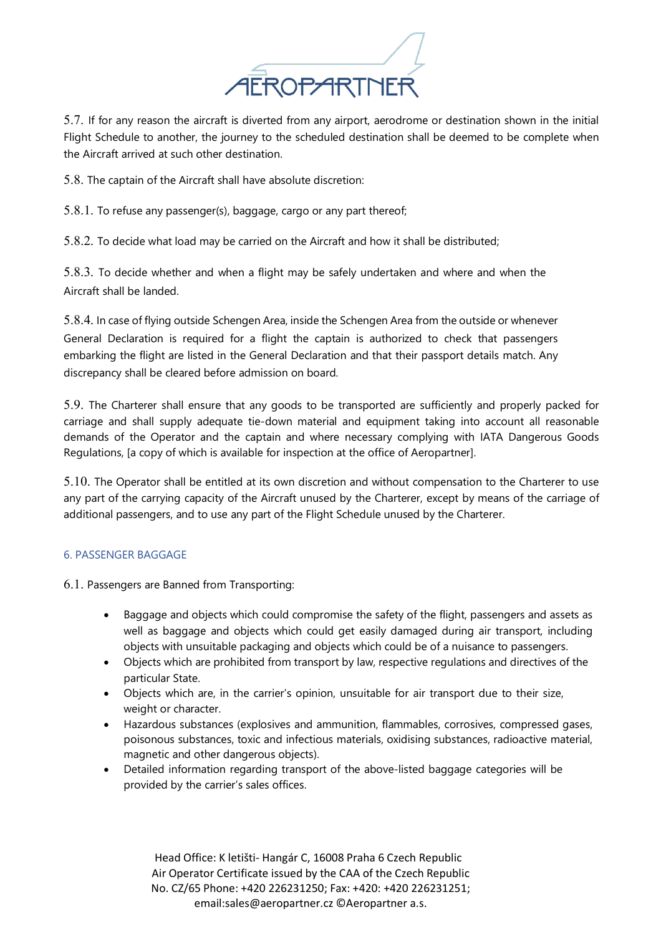

5.7. If for any reason the aircraft is diverted from any airport, aerodrome or destination shown in the initial Flight Schedule to another, the journey to the scheduled destination shall be deemed to be complete when the Aircraft arrived at such other destination.

5.8. The captain of the Aircraft shall have absolute discretion:

5.8.1. To refuse any passenger(s), baggage, cargo or any part thereof;

5.8.2. To decide what load may be carried on the Aircraft and how it shall be distributed;

5.8.3. To decide whether and when a flight may be safely undertaken and where and when the Aircraft shall be landed.

5.8.4. In case of flying outside Schengen Area, inside the Schengen Area from the outside or whenever General Declaration is required for a flight the captain is authorized to check that passengers embarking the flight are listed in the General Declaration and that their passport details match. Any discrepancy shall be cleared before admission on board.

5.9. The Charterer shall ensure that any goods to be transported are sufficiently and properly packed for carriage and shall supply adequate tie-down material and equipment taking into account all reasonable demands of the Operator and the captain and where necessary complying with IATA Dangerous Goods Regulations, [a copy of which is available for inspection at the office of Aeropartner].

5.10. The Operator shall be entitled at its own discretion and without compensation to the Charterer to use any part of the carrying capacity of the Aircraft unused by the Charterer, except by means of the carriage of additional passengers, and to use any part of the Flight Schedule unused by the Charterer.

# 6. PASSENGER BAGGAGE

6.1. Passengers are Banned from Transporting:

- Baggage and objects which could compromise the safety of the flight, passengers and assets as well as baggage and objects which could get easily damaged during air transport, including objects with unsuitable packaging and objects which could be of a nuisance to passengers.
- Objects which are prohibited from transport by law, respective regulations and directives of the particular State.
- Objects which are, in the carrier's opinion, unsuitable for air transport due to their size, weight or character.
- Hazardous substances (explosives and ammunition, flammables, corrosives, compressed gases, poisonous substances, toxic and infectious materials, oxidising substances, radioactive material, magnetic and other dangerous objects).
- Detailed information regarding transport of the above-listed baggage categories will be provided by the carrier's sales offices.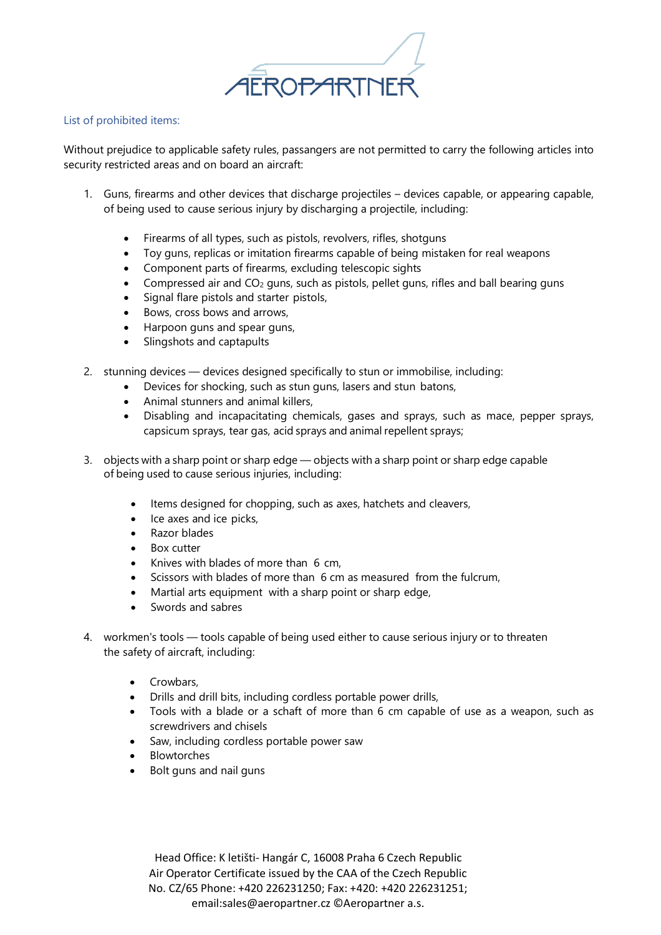

#### List of prohibited items:

Without prejudice to applicable safety rules, passangers are not permitted to carry the following articles into security restricted areas and on board an aircraft:

- 1. Guns, firearms and other devices that discharge projectiles devices capable, or appearing capable, of being used to cause serious injury by discharging a projectile, including:
	- Firearms of all types, such as pistols, revolvers, rifles, shotguns
	- Toy guns, replicas or imitation firearms capable of being mistaken for real weapons
	- Component parts of firearms, excluding telescopic sights
	- Compressed air and  $CO<sub>2</sub>$  guns, such as pistols, pellet guns, rifles and ball bearing guns
	- Signal flare pistols and starter pistols,
	- Bows, cross bows and arrows,
	- Harpoon guns and spear guns,
	- Slingshots and captapults
- 2. stunning devices devices designed specifically to stun or immobilise, including:
	- Devices for shocking, such as stun guns, lasers and stun batons,
	- Animal stunners and animal killers,
	- Disabling and incapacitating chemicals, gases and sprays, such as mace, pepper sprays, capsicum sprays, tear gas, acid sprays and animal repellent sprays;
- 3. objects with a sharp point or sharp edge objects with a sharp point or sharp edge capable of being used to cause serious injuries, including:
	- Items designed for chopping, such as axes, hatchets and cleavers,
	- Ice axes and ice picks,
	- Razor blades
	- Box cutter
	- Knives with blades of more than 6 cm,
	- Scissors with blades of more than 6 cm as measured from the fulcrum,
	- Martial arts equipment with a sharp point or sharp edge,
	- Swords and sabres
- 4. workmen's tools tools capable of being used either to cause serious injury or to threaten the safety of aircraft, including:
	- Crowbars,
	- Drills and drill bits, including cordless portable power drills,
	- Tools with a blade or a schaft of more than 6 cm capable of use as a weapon, such as screwdrivers and chisels
	- Saw, including cordless portable power saw
	- **Blowtorches**
	- Bolt guns and nail guns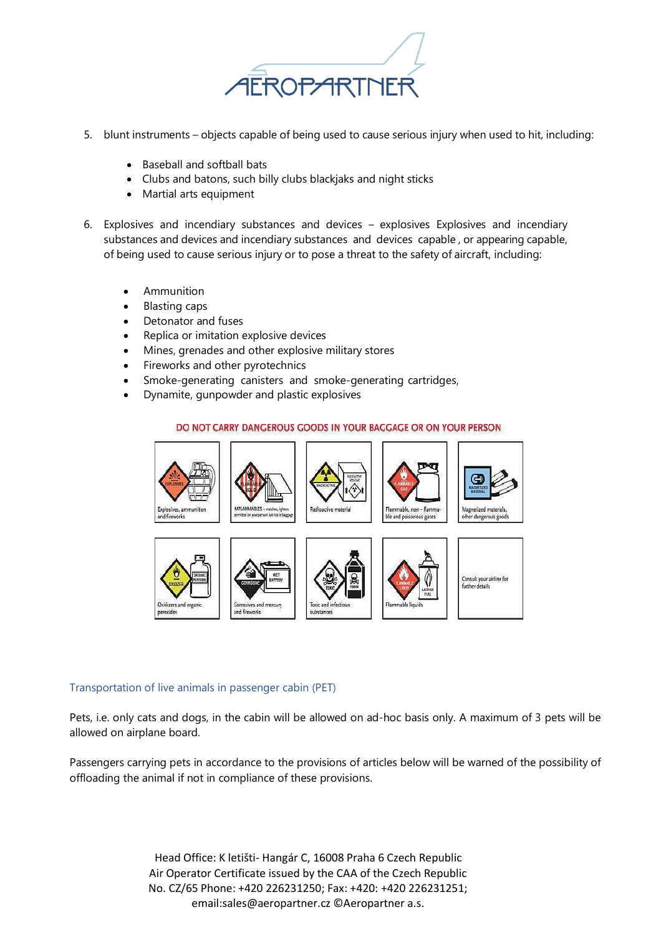

- 5. blunt instruments objects capable of being used to cause serious injury when used to hit, including:
	- Baseball and softball bats
	- Clubs and batons, such billy clubs blackjaks and night sticks
	- Martial arts equipment
- 6. Explosives and incendiary substances and devices explosives Explosives and incendiary substances and devices and incendiary substances and devices capable , or appearing capable, of being used to cause serious injury or to pose a threat to the safety of aircraft, including:
	- Ammunition
	- Blasting caps
	- Detonator and fuses
	- Replica or imitation explosive devices
	- Mines, grenades and other explosive military stores
	- Fireworks and other pyrotechnics
	- Smoke-generating canisters and smoke-generating cartridges,
	- Dynamite, gunpowder and plastic explosives

#### DO NOT CARRY DANGEROUS GOODS IN YOUR BAGGAGE OR ON YOUR PERSON















#### Transportation of live animals in passenger cabin (PET)

Pets, i.e. only cats and dogs, in the cabin will be allowed on ad-hoc basis only. A maximum of 3 pets will be allowed on airplane board.

Passengers carrying pets in accordance to the provisions of articles below will be warned of the possibility of offloading the animal if not in compliance of these provisions.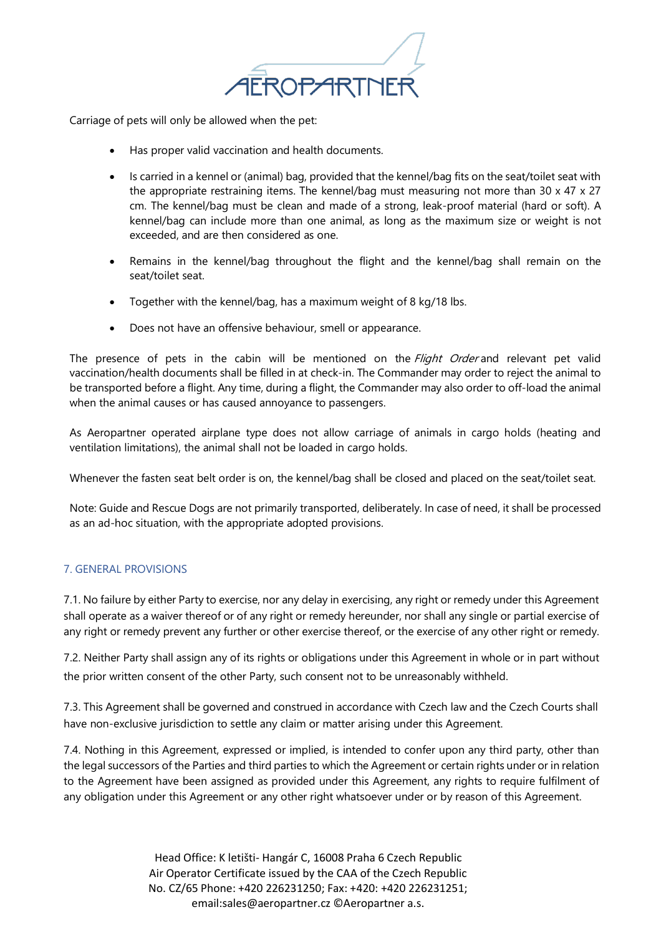

Carriage of pets will only be allowed when the pet:

- Has proper valid vaccination and health documents.
- Is carried in a kennel or (animal) bag, provided that the kennel/bag fits on the seat/toilet seat with the appropriate restraining items. The kennel/bag must measuring not more than 30 x 47 x 27 cm. The kennel/bag must be clean and made of a strong, leak-proof material (hard or soft). A kennel/bag can include more than one animal, as long as the maximum size or weight is not exceeded, and are then considered as one.
- Remains in the kennel/bag throughout the flight and the kennel/bag shall remain on the seat/toilet seat.
- Together with the kennel/bag, has a maximum weight of 8 kg/18 lbs.
- Does not have an offensive behaviour, smell or appearance.

The presence of pets in the cabin will be mentioned on the *Flight Order* and relevant pet valid vaccination/health documents shall be filled in at check-in. The Commander may order to reject the animal to be transported before a flight. Any time, during a flight, the Commander may also order to off-load the animal when the animal causes or has caused annoyance to passengers.

As Aeropartner operated airplane type does not allow carriage of animals in cargo holds (heating and ventilation limitations), the animal shall not be loaded in cargo holds.

Whenever the fasten seat belt order is on, the kennel/bag shall be closed and placed on the seat/toilet seat.

Note: Guide and Rescue Dogs are not primarily transported, deliberately. In case of need, it shall be processed as an ad-hoc situation, with the appropriate adopted provisions.

# 7. GENERAL PROVISIONS

7.1. No failure by either Party to exercise, nor any delay in exercising, any right or remedy under this Agreement shall operate as a waiver thereof or of any right or remedy hereunder, nor shall any single or partial exercise of any right or remedy prevent any further or other exercise thereof, or the exercise of any other right or remedy.

7.2. Neither Party shall assign any of its rights or obligations under this Agreement in whole or in part without the prior written consent of the other Party, such consent not to be unreasonably withheld.

7.3. This Agreement shall be governed and construed in accordance with Czech law and the Czech Courts shall have non-exclusive jurisdiction to settle any claim or matter arising under this Agreement.

7.4. Nothing in this Agreement, expressed or implied, is intended to confer upon any third party, other than the legal successors of the Parties and third parties to which the Agreement or certain rights under or in relation to the Agreement have been assigned as provided under this Agreement, any rights to require fulfilment of any obligation under this Agreement or any other right whatsoever under or by reason of this Agreement.